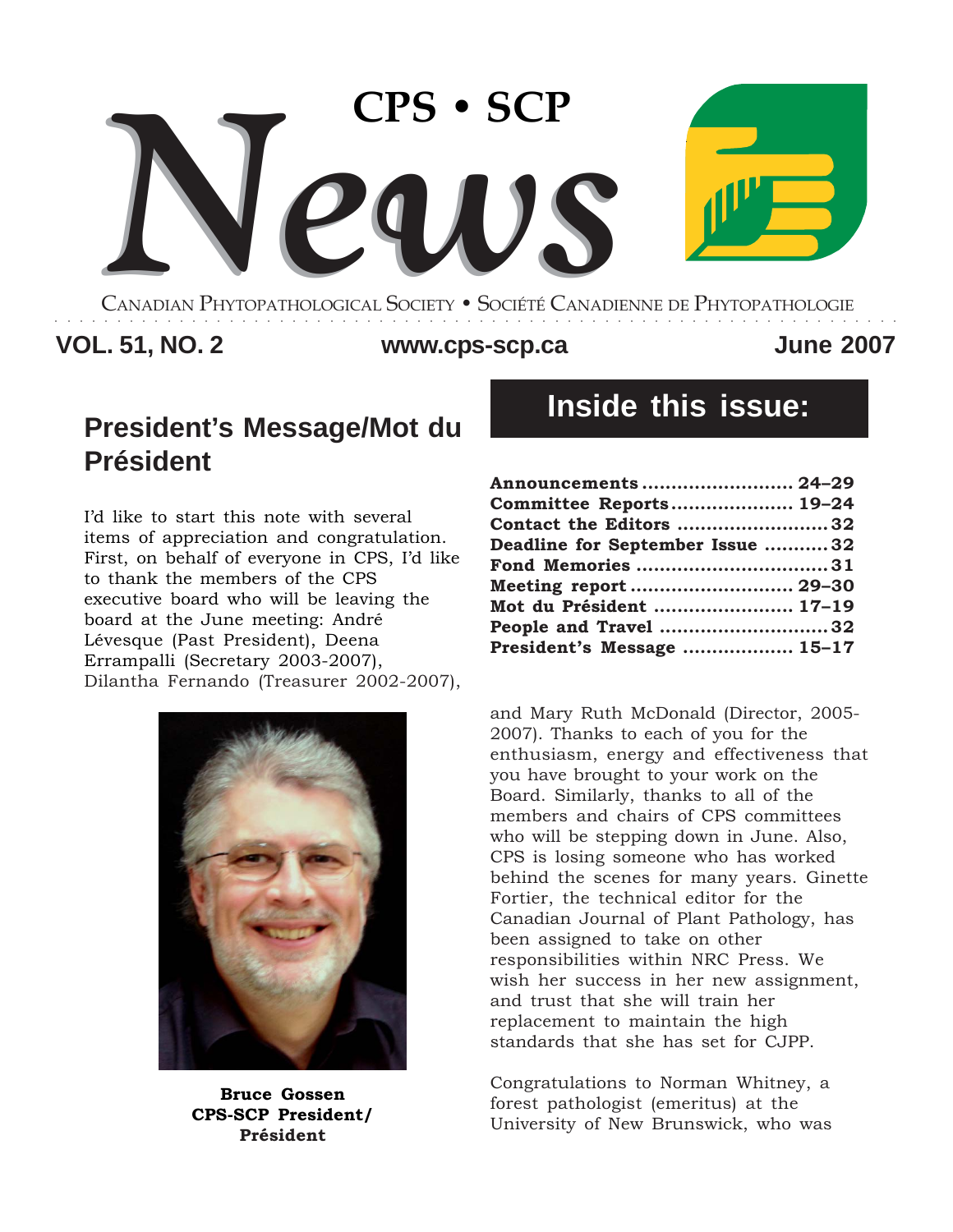

CANADIAN PHYTOPATHOLOGICAL SOCIETY **•** SOCIÉTÉ CANADIENNE DE PHYTOPATHOLOGIE ○○○○○○○○○○○○○○○○○○○○○○○○○○○○○○○○○○○○○○○○○○○○○○○○○○○○○○○○○○○○○○○○○○○○

# **VOL. 51, NO. 2 June 2007 www.cps-scp.ca**

# **President's Message/Mot du Président**

I'd like to start this note with several items of appreciation and congratulation. First, on behalf of everyone in CPS, I'd like to thank the members of the CPS executive board who will be leaving the board at the June meeting: André Lévesque (Past President), Deena Errampalli (Secretary 2003-2007), Dilantha Fernando (Treasurer 2002-2007),



**Bruce Gossen CPS-SCP President/ Président**

# **Inside this issue:**

| Announcements  24-29            |  |
|---------------------------------|--|
| Committee Reports 19-24         |  |
| Contact the Editors 32          |  |
| Deadline for September Issue 32 |  |
| Fond Memories 31                |  |
| Meeting report  29-30           |  |
| Mot du Président  17-19         |  |
| People and Travel 32            |  |
| President's Message  15-17      |  |

and Mary Ruth McDonald (Director, 2005- 2007). Thanks to each of you for the enthusiasm, energy and effectiveness that you have brought to your work on the Board. Similarly, thanks to all of the members and chairs of CPS committees who will be stepping down in June. Also, CPS is losing someone who has worked behind the scenes for many years. Ginette Fortier, the technical editor for the Canadian Journal of Plant Pathology, has been assigned to take on other responsibilities within NRC Press. We wish her success in her new assignment, and trust that she will train her replacement to maintain the high standards that she has set for CJPP.

Congratulations to Norman Whitney, a forest pathologist (emeritus) at the University of New Brunswick, who was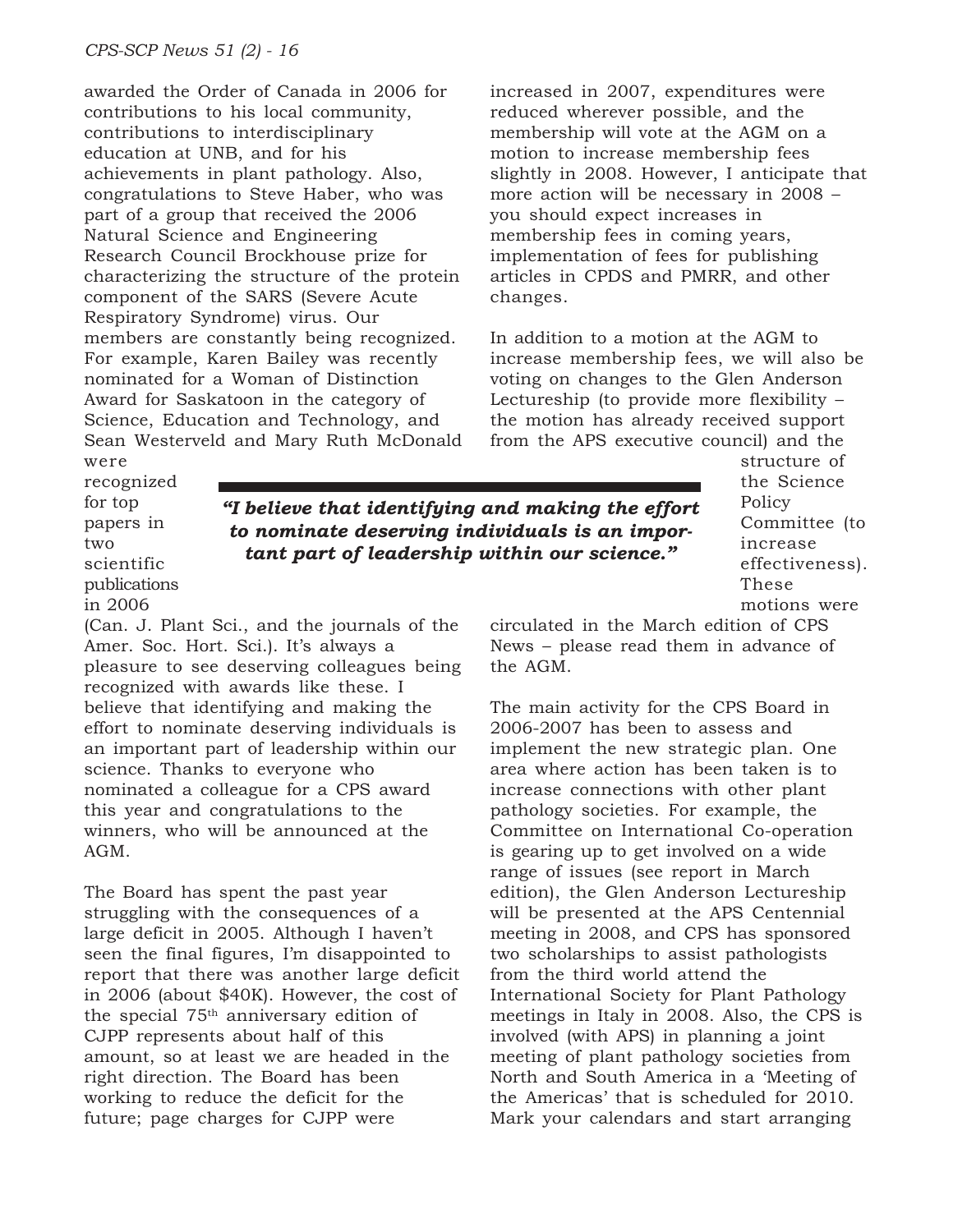awarded the Order of Canada in 2006 for contributions to his local community, contributions to interdisciplinary education at UNB, and for his achievements in plant pathology. Also, congratulations to Steve Haber, who was part of a group that received the 2006 Natural Science and Engineering Research Council Brockhouse prize for characterizing the structure of the protein component of the SARS (Severe Acute Respiratory Syndrome) virus. Our members are constantly being recognized. For example, Karen Bailey was recently nominated for a Woman of Distinction Award for Saskatoon in the category of Science, Education and Technology, and Sean Westerveld and Mary Ruth McDonald increased in 2007, expenditures were reduced wherever possible, and the membership will vote at the AGM on a motion to increase membership fees slightly in 2008. However, I anticipate that more action will be necessary in 2008 – you should expect increases in membership fees in coming years, implementation of fees for publishing articles in CPDS and PMRR, and other changes.

In addition to a motion at the AGM to increase membership fees, we will also be voting on changes to the Glen Anderson Lectureship (to provide more flexibility – the motion has already received support from the APS executive council) and the

were recognized for top papers in two scientific

*"I believe that identifying and making the effort to nominate deserving individuals is an important part of leadership within our science."*

structure of the Science Policy Committee (to increase effectiveness). These motions were

circulated in the March edition of CPS News – please read them in advance of the AGM.

The main activity for the CPS Board in 2006-2007 has been to assess and implement the new strategic plan. One area where action has been taken is to increase connections with other plant pathology societies. For example, the Committee on International Co-operation is gearing up to get involved on a wide range of issues (see report in March edition), the Glen Anderson Lectureship will be presented at the APS Centennial meeting in 2008, and CPS has sponsored two scholarships to assist pathologists from the third world attend the International Society for Plant Pathology meetings in Italy in 2008. Also, the CPS is involved (with APS) in planning a joint meeting of plant pathology societies from North and South America in a 'Meeting of the Americas' that is scheduled for 2010. Mark your calendars and start arranging

publications in 2006 (Can. J. Plant Sci., and the journals of the Amer. Soc. Hort. Sci.). It's always a pleasure to see deserving colleagues being recognized with awards like these. I believe that identifying and making the effort to nominate deserving individuals is an important part of leadership within our science. Thanks to everyone who nominated a colleague for a CPS award this year and congratulations to the winners, who will be announced at the AGM.

The Board has spent the past year struggling with the consequences of a large deficit in 2005. Although I haven't seen the final figures, I'm disappointed to report that there was another large deficit in 2006 (about \$40K). However, the cost of the special 75th anniversary edition of CJPP represents about half of this amount, so at least we are headed in the right direction. The Board has been working to reduce the deficit for the future; page charges for CJPP were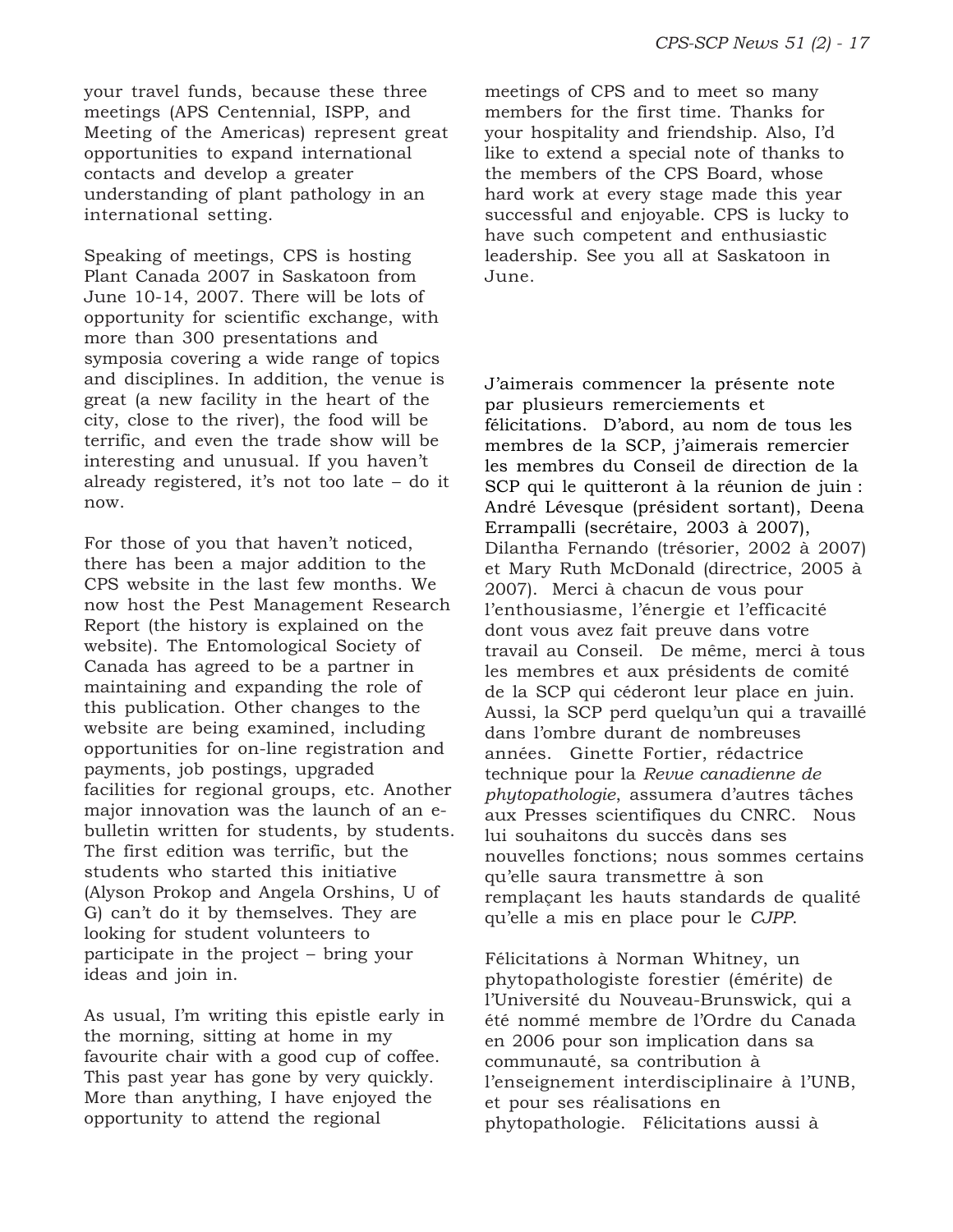your travel funds, because these three meetings (APS Centennial, ISPP, and Meeting of the Americas) represent great opportunities to expand international contacts and develop a greater understanding of plant pathology in an international setting.

Speaking of meetings, CPS is hosting Plant Canada 2007 in Saskatoon from June 10-14, 2007. There will be lots of opportunity for scientific exchange, with more than 300 presentations and symposia covering a wide range of topics and disciplines. In addition, the venue is great (a new facility in the heart of the city, close to the river), the food will be terrific, and even the trade show will be interesting and unusual. If you haven't already registered, it's not too late – do it now.

For those of you that haven't noticed, there has been a major addition to the CPS website in the last few months. We now host the Pest Management Research Report (the history is explained on the website). The Entomological Society of Canada has agreed to be a partner in maintaining and expanding the role of this publication. Other changes to the website are being examined, including opportunities for on-line registration and payments, job postings, upgraded facilities for regional groups, etc. Another major innovation was the launch of an ebulletin written for students, by students. The first edition was terrific, but the students who started this initiative (Alyson Prokop and Angela Orshins, U of G) can't do it by themselves. They are looking for student volunteers to participate in the project – bring your ideas and join in.

As usual, I'm writing this epistle early in the morning, sitting at home in my favourite chair with a good cup of coffee. This past year has gone by very quickly. More than anything, I have enjoyed the opportunity to attend the regional

meetings of CPS and to meet so many members for the first time. Thanks for your hospitality and friendship. Also, I'd like to extend a special note of thanks to the members of the CPS Board, whose hard work at every stage made this year successful and enjoyable. CPS is lucky to have such competent and enthusiastic leadership. See you all at Saskatoon in June.

J'aimerais commencer la présente note par plusieurs remerciements et félicitations. D'abord, au nom de tous les membres de la SCP, j'aimerais remercier les membres du Conseil de direction de la SCP qui le quitteront à la réunion de juin : André Lévesque (président sortant), Deena Errampalli (secrétaire, 2003 à 2007), Dilantha Fernando (trésorier, 2002 à 2007) et Mary Ruth McDonald (directrice, 2005 à 2007). Merci à chacun de vous pour l'enthousiasme, l'énergie et l'efficacité dont vous avez fait preuve dans votre travail au Conseil. De même, merci à tous les membres et aux présidents de comité de la SCP qui céderont leur place en juin. Aussi, la SCP perd quelqu'un qui a travaillé dans l'ombre durant de nombreuses années. Ginette Fortier, rédactrice technique pour la *Revue canadienne de phytopathologie*, assumera d'autres tâches aux Presses scientifiques du CNRC. Nous lui souhaitons du succès dans ses nouvelles fonctions; nous sommes certains qu'elle saura transmettre à son remplaçant les hauts standards de qualité qu'elle a mis en place pour le *CJPP*.

Félicitations à Norman Whitney, un phytopathologiste forestier (émérite) de l'Université du Nouveau-Brunswick, qui a été nommé membre de l'Ordre du Canada en 2006 pour son implication dans sa communauté, sa contribution à l'enseignement interdisciplinaire à l'UNB, et pour ses réalisations en phytopathologie. Félicitations aussi à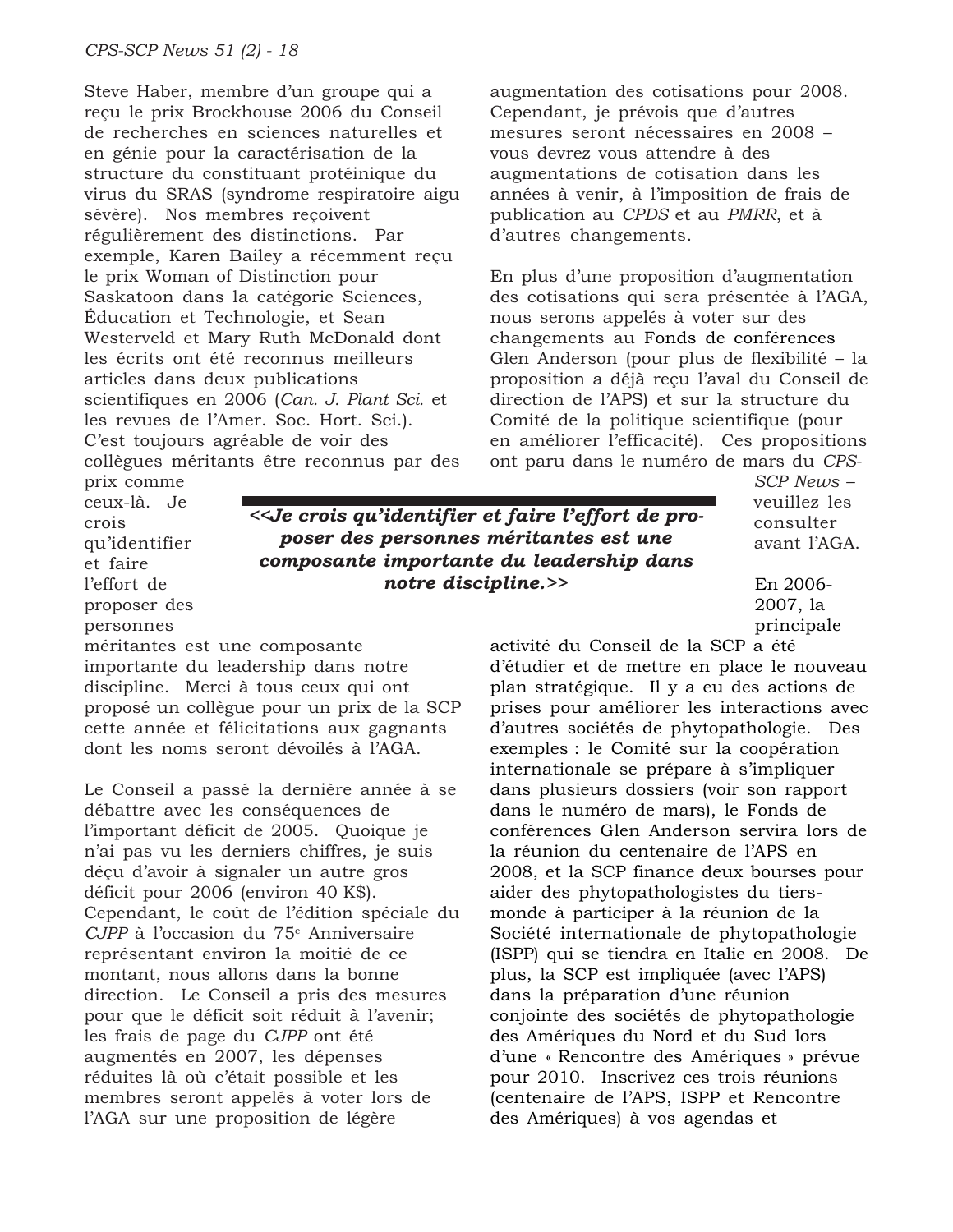Steve Haber, membre d'un groupe qui a reçu le prix Brockhouse 2006 du Conseil de recherches en sciences naturelles et en génie pour la caractérisation de la structure du constituant protéinique du virus du SRAS (syndrome respiratoire aigu sévère). Nos membres reçoivent régulièrement des distinctions. Par exemple, Karen Bailey a récemment reçu le prix Woman of Distinction pour Saskatoon dans la catégorie Sciences, Éducation et Technologie, et Sean Westerveld et Mary Ruth McDonald dont les écrits ont été reconnus meilleurs articles dans deux publications scientifiques en 2006 (*Can. J. Plant Sci.* et les revues de l'Amer. Soc. Hort. Sci.). C'est toujours agréable de voir des collègues méritants être reconnus par des augmentation des cotisations pour 2008. Cependant, je prévois que d'autres mesures seront nécessaires en 2008 – vous devrez vous attendre à des augmentations de cotisation dans les années à venir, à l'imposition de frais de publication au *CPDS* et au *PMRR*, et à d'autres changements.

En plus d'une proposition d'augmentation des cotisations qui sera présentée à l'AGA, nous serons appelés à voter sur des changements au Fonds de conférences Glen Anderson (pour plus de flexibilité – la proposition a déjà reçu l'aval du Conseil de direction de l'APS) et sur la structure du Comité de la politique scientifique (pour en améliorer l'efficacité). Ces propositions ont paru dans le numéro de mars du *CPS-*

prix comme ceux-là. Je crois qu'identifier et faire l'effort de proposer des personnes

*<<Je crois qu'identifier et faire l'effort de proposer des personnes méritantes est une composante importante du leadership dans notre discipline.>>*

*SCP News* – veuillez les consulter avant l'AGA.

En 2006- 2007, la principale

méritantes est une composante importante du leadership dans notre discipline. Merci à tous ceux qui ont proposé un collègue pour un prix de la SCP cette année et félicitations aux gagnants dont les noms seront dévoilés à l'AGA.

Le Conseil a passé la dernière année à se débattre avec les conséquences de l'important déficit de 2005. Quoique je n'ai pas vu les derniers chiffres, je suis déçu d'avoir à signaler un autre gros déficit pour 2006 (environ 40 K\$). Cependant, le coût de l'édition spéciale du CJPP à l'occasion du 75<sup>e</sup> Anniversaire représentant environ la moitié de ce montant, nous allons dans la bonne direction. Le Conseil a pris des mesures pour que le déficit soit réduit à l'avenir; les frais de page du *CJPP* ont été augmentés en 2007, les dépenses réduites là où c'était possible et les membres seront appelés à voter lors de l'AGA sur une proposition de légère

activité du Conseil de la SCP a été d'étudier et de mettre en place le nouveau plan stratégique. Il y a eu des actions de prises pour améliorer les interactions avec d'autres sociétés de phytopathologie. Des exemples : le Comité sur la coopération internationale se prépare à s'impliquer dans plusieurs dossiers (voir son rapport dans le numéro de mars), le Fonds de conférences Glen Anderson servira lors de la réunion du centenaire de l'APS en 2008, et la SCP finance deux bourses pour aider des phytopathologistes du tiersmonde à participer à la réunion de la Société internationale de phytopathologie (ISPP) qui se tiendra en Italie en 2008. De plus, la SCP est impliquée (avec l'APS) dans la préparation d'une réunion conjointe des sociétés de phytopathologie des Amériques du Nord et du Sud lors d'une « Rencontre des Amériques » prévue pour 2010. Inscrivez ces trois réunions (centenaire de l'APS, ISPP et Rencontre des Amériques) à vos agendas et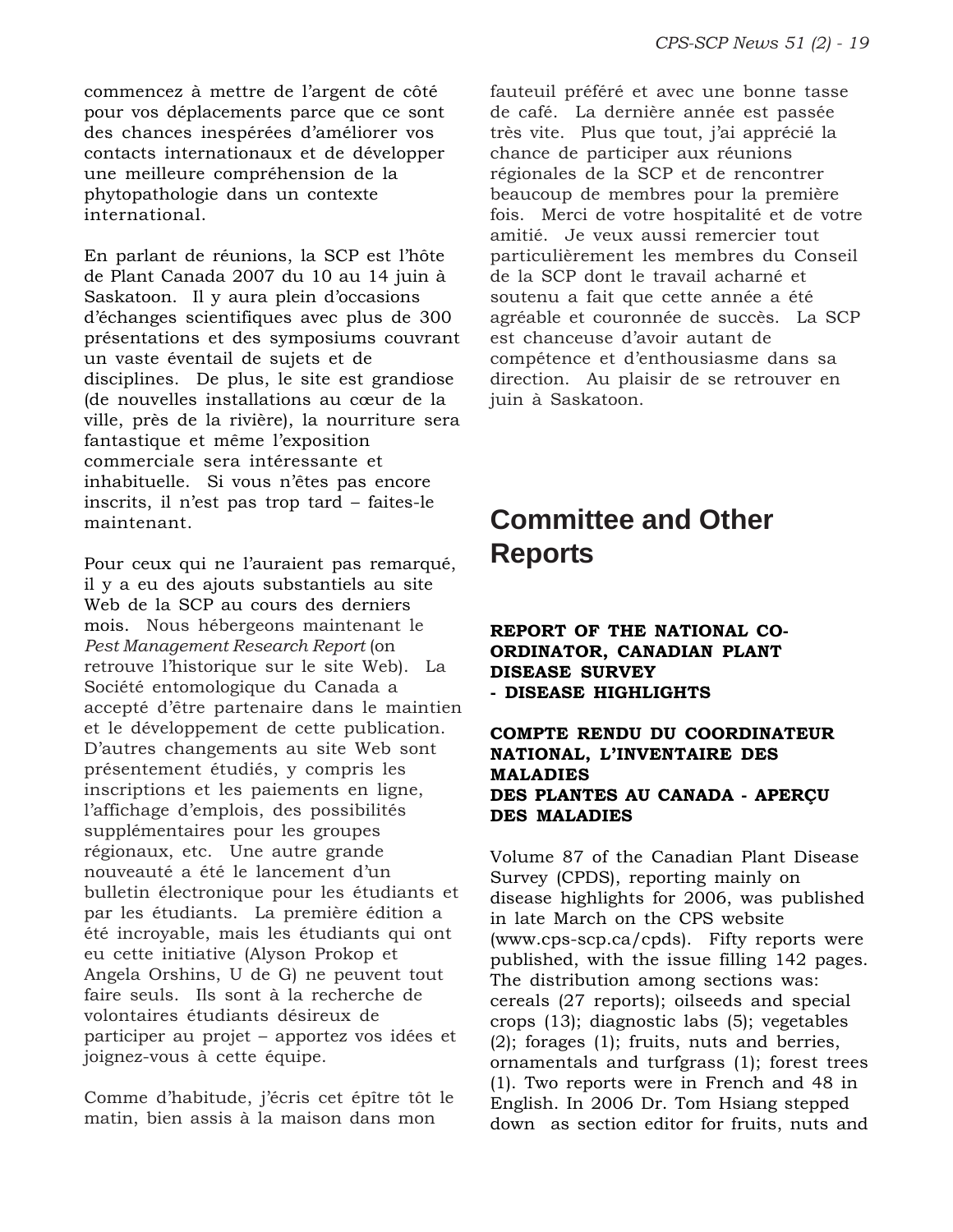commencez à mettre de l'argent de côté pour vos déplacements parce que ce sont des chances inespérées d'améliorer vos contacts internationaux et de développer une meilleure compréhension de la phytopathologie dans un contexte international.

En parlant de réunions, la SCP est l'hôte de Plant Canada 2007 du 10 au 14 juin à Saskatoon. Il y aura plein d'occasions d'échanges scientifiques avec plus de 300 présentations et des symposiums couvrant un vaste éventail de sujets et de disciplines. De plus, le site est grandiose (de nouvelles installations au cœur de la ville, près de la rivière), la nourriture sera fantastique et même l'exposition commerciale sera intéressante et inhabituelle. Si vous n'êtes pas encore inscrits, il n'est pas trop tard – faites-le maintenant.

Pour ceux qui ne l'auraient pas remarqué, il y a eu des ajouts substantiels au site Web de la SCP au cours des derniers mois. Nous hébergeons maintenant le *Pest Management Research Report* (on retrouve l'historique sur le site Web). La Société entomologique du Canada a accepté d'être partenaire dans le maintien et le développement de cette publication. D'autres changements au site Web sont présentement étudiés, y compris les inscriptions et les paiements en ligne, l'affichage d'emplois, des possibilités supplémentaires pour les groupes régionaux, etc. Une autre grande nouveauté a été le lancement d'un bulletin électronique pour les étudiants et par les étudiants. La première édition a été incroyable, mais les étudiants qui ont eu cette initiative (Alyson Prokop et Angela Orshins, U de G) ne peuvent tout faire seuls. Ils sont à la recherche de volontaires étudiants désireux de participer au projet – apportez vos idées et joignez-vous à cette équipe.

Comme d'habitude, j'écris cet épître tôt le matin, bien assis à la maison dans mon

fauteuil préféré et avec une bonne tasse de café. La dernière année est passée très vite. Plus que tout, j'ai apprécié la chance de participer aux réunions régionales de la SCP et de rencontrer beaucoup de membres pour la première fois. Merci de votre hospitalité et de votre amitié. Je veux aussi remercier tout particulièrement les membres du Conseil de la SCP dont le travail acharné et soutenu a fait que cette année a été agréable et couronnée de succès. La SCP est chanceuse d'avoir autant de compétence et d'enthousiasme dans sa direction. Au plaisir de se retrouver en juin à Saskatoon.

# **Committee and Other Reports**

### **REPORT OF THE NATIONAL CO-ORDINATOR, CANADIAN PLANT DISEASE SURVEY - DISEASE HIGHLIGHTS**

### **COMPTE RENDU DU COORDINATEUR NATIONAL, L'INVENTAIRE DES MALADIES DES PLANTES AU CANADA - APERÇU DES MALADIES**

Volume 87 of the Canadian Plant Disease Survey (CPDS), reporting mainly on disease highlights for 2006, was published in late March on the CPS website (www.cps-scp.ca/cpds). Fifty reports were published, with the issue filling 142 pages. The distribution among sections was: cereals (27 reports); oilseeds and special crops (13); diagnostic labs (5); vegetables (2); forages (1); fruits, nuts and berries, ornamentals and turfgrass (1); forest trees (1). Two reports were in French and 48 in English. In 2006 Dr. Tom Hsiang stepped down as section editor for fruits, nuts and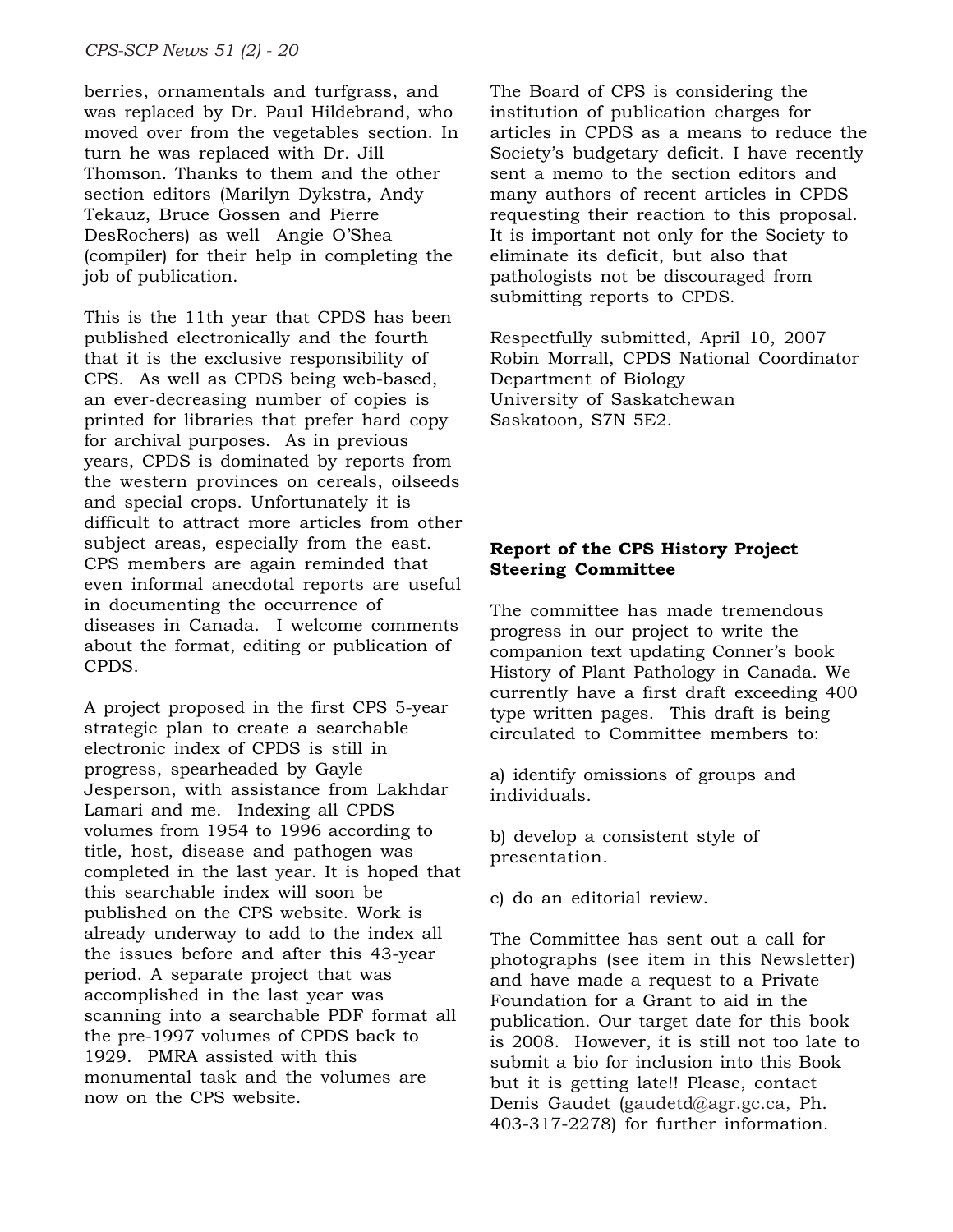berries, ornamentals and turfgrass, and was replaced by Dr. Paul Hildebrand, who moved over from the vegetables section. In turn he was replaced with Dr. Jill Thomson. Thanks to them and the other section editors (Marilyn Dykstra, Andy Tekauz, Bruce Gossen and Pierre DesRochers) as well Angie O'Shea (compiler) for their help in completing the job of publication.

This is the 11th year that CPDS has been published electronically and the fourth that it is the exclusive responsibility of CPS. As well as CPDS being web-based, an ever-decreasing number of copies is printed for libraries that prefer hard copy for archival purposes. As in previous years, CPDS is dominated by reports from the western provinces on cereals, oilseeds and special crops. Unfortunately it is difficult to attract more articles from other subject areas, especially from the east. CPS members are again reminded that even informal anecdotal reports are useful in documenting the occurrence of diseases in Canada. I welcome comments about the format, editing or publication of CPDS.

A project proposed in the first CPS 5-year strategic plan to create a searchable electronic index of CPDS is still in progress, spearheaded by Gayle Jesperson, with assistance from Lakhdar Lamari and me. Indexing all CPDS volumes from 1954 to 1996 according to title, host, disease and pathogen was completed in the last year. It is hoped that this searchable index will soon be published on the CPS website. Work is already underway to add to the index all the issues before and after this 43-year period. A separate project that was accomplished in the last year was scanning into a searchable PDF format all the pre-1997 volumes of CPDS back to 1929. PMRA assisted with this monumental task and the volumes are now on the CPS website.

The Board of CPS is considering the institution of publication charges for articles in CPDS as a means to reduce the Society's budgetary deficit. I have recently sent a memo to the section editors and many authors of recent articles in CPDS requesting their reaction to this proposal. It is important not only for the Society to eliminate its deficit, but also that pathologists not be discouraged from submitting reports to CPDS.

Respectfully submitted, April 10, 2007 Robin Morrall, CPDS National Coordinator Department of Biology University of Saskatchewan Saskatoon, S7N 5E2.

# **Report of the CPS History Project Steering Committee**

The committee has made tremendous progress in our project to write the companion text updating Conner's book History of Plant Pathology in Canada. We currently have a first draft exceeding 400 type written pages. This draft is being circulated to Committee members to:

a) identify omissions of groups and individuals.

b) develop a consistent style of presentation.

c) do an editorial review.

The Committee has sent out a call for photographs (see item in this Newsletter) and have made a request to a Private Foundation for a Grant to aid in the publication. Our target date for this book is 2008. However, it is still not too late to submit a bio for inclusion into this Book but it is getting late!! Please, contact Denis Gaudet (gaudetd@agr.gc.ca, Ph. 403-317-2278) for further information.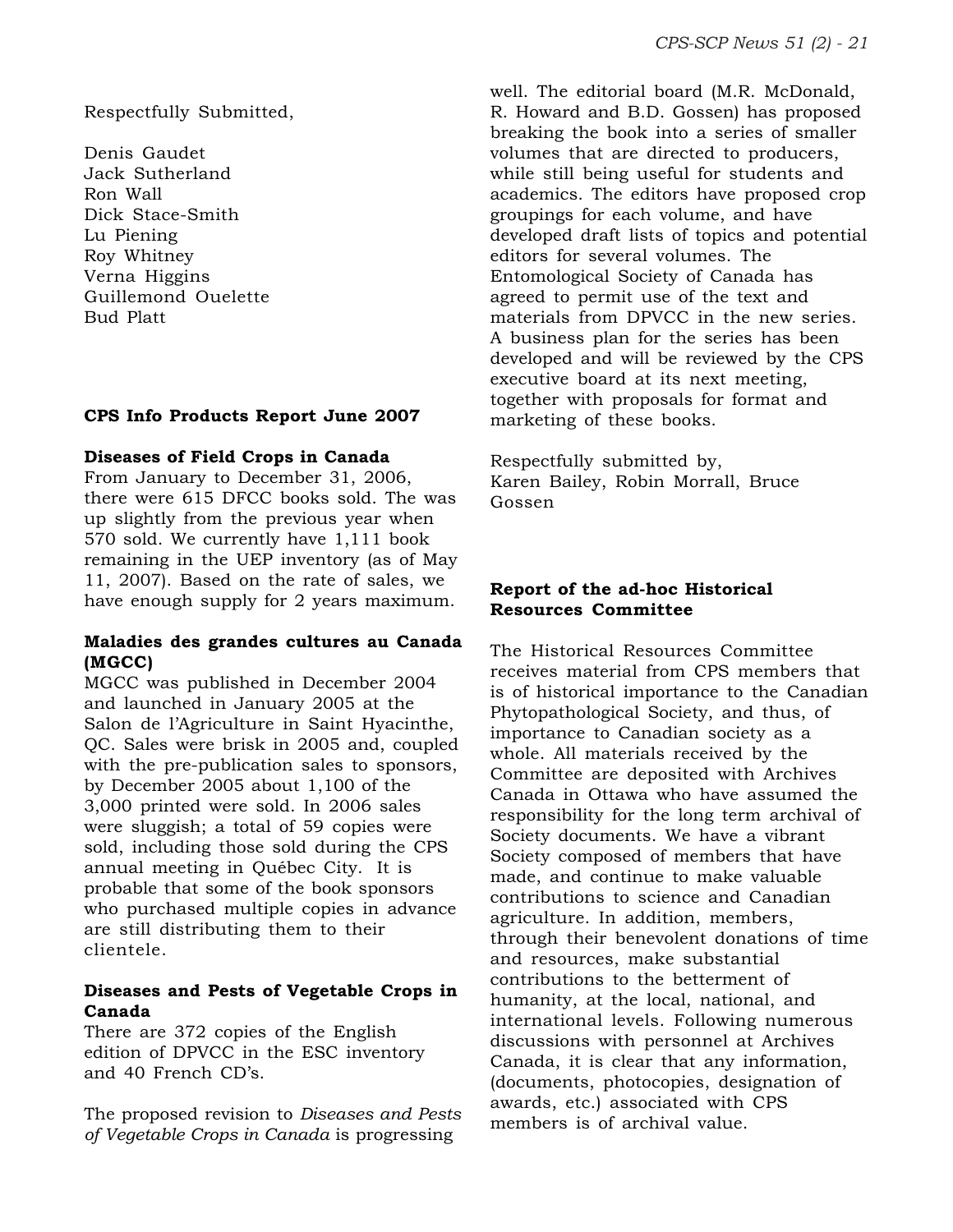Respectfully Submitted,

Denis Gaudet Jack Sutherland Ron Wall Dick Stace-Smith Lu Piening Roy Whitney Verna Higgins Guillemond Ouelette Bud Platt

# **CPS Info Products Report June 2007**

#### **Diseases of Field Crops in Canada**

From January to December 31, 2006, there were 615 DFCC books sold. The was up slightly from the previous year when 570 sold. We currently have 1,111 book remaining in the UEP inventory (as of May 11, 2007). Based on the rate of sales, we have enough supply for 2 years maximum.

# **Maladies des grandes cultures au Canada (MGCC)**

MGCC was published in December 2004 and launched in January 2005 at the Salon de l'Agriculture in Saint Hyacinthe, QC. Sales were brisk in 2005 and, coupled with the pre-publication sales to sponsors, by December 2005 about 1,100 of the 3,000 printed were sold. In 2006 sales were sluggish; a total of 59 copies were sold, including those sold during the CPS annual meeting in Québec City. It is probable that some of the book sponsors who purchased multiple copies in advance are still distributing them to their clientele.

### **Diseases and Pests of Vegetable Crops in Canada**

There are 372 copies of the English edition of DPVCC in the ESC inventory and 40 French CD's.

The proposed revision to *Diseases and Pests of Vegetable Crops in Canada* is progressing

well. The editorial board (M.R. McDonald, R. Howard and B.D. Gossen) has proposed breaking the book into a series of smaller volumes that are directed to producers, while still being useful for students and academics. The editors have proposed crop groupings for each volume, and have developed draft lists of topics and potential editors for several volumes. The Entomological Society of Canada has agreed to permit use of the text and materials from DPVCC in the new series. A business plan for the series has been developed and will be reviewed by the CPS executive board at its next meeting, together with proposals for format and marketing of these books.

Respectfully submitted by, Karen Bailey, Robin Morrall, Bruce Gossen

#### **Report of the ad-hoc Historical Resources Committee**

The Historical Resources Committee receives material from CPS members that is of historical importance to the Canadian Phytopathological Society, and thus, of importance to Canadian society as a whole. All materials received by the Committee are deposited with Archives Canada in Ottawa who have assumed the responsibility for the long term archival of Society documents. We have a vibrant Society composed of members that have made, and continue to make valuable contributions to science and Canadian agriculture. In addition, members, through their benevolent donations of time and resources, make substantial contributions to the betterment of humanity, at the local, national, and international levels. Following numerous discussions with personnel at Archives Canada, it is clear that any information, (documents, photocopies, designation of awards, etc.) associated with CPS members is of archival value.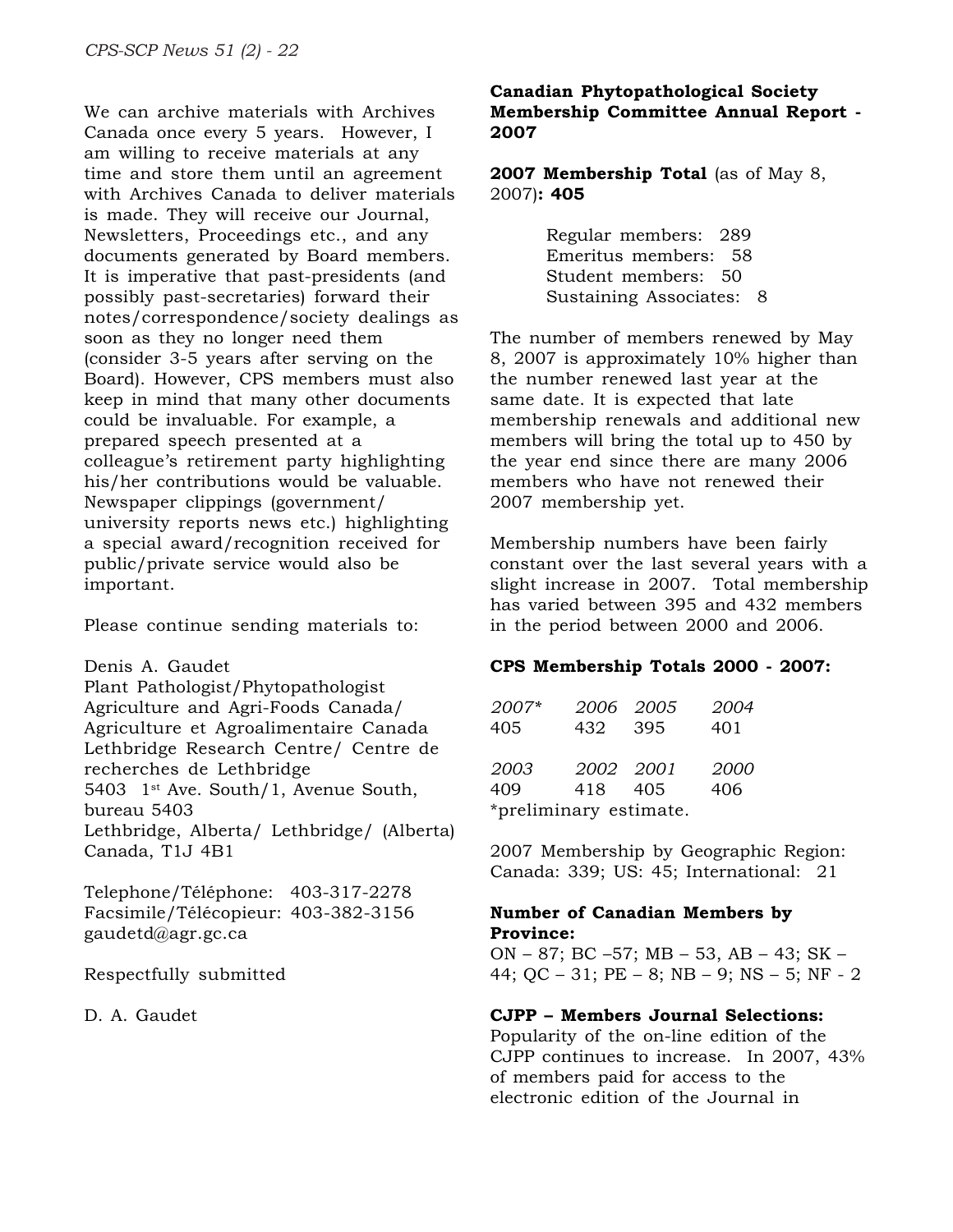We can archive materials with Archives Canada once every 5 years. However, I am willing to receive materials at any time and store them until an agreement with Archives Canada to deliver materials is made. They will receive our Journal, Newsletters, Proceedings etc., and any documents generated by Board members. It is imperative that past-presidents (and possibly past-secretaries) forward their notes/correspondence/society dealings as soon as they no longer need them (consider 3-5 years after serving on the Board). However, CPS members must also keep in mind that many other documents could be invaluable. For example, a prepared speech presented at a colleague's retirement party highlighting his/her contributions would be valuable. Newspaper clippings (government/ university reports news etc.) highlighting a special award/recognition received for public/private service would also be important.

Please continue sending materials to:

Denis A. Gaudet Plant Pathologist/Phytopathologist Agriculture and Agri-Foods Canada/ Agriculture et Agroalimentaire Canada Lethbridge Research Centre/ Centre de recherches de Lethbridge 5403 1st Ave. South/1, Avenue South, bureau 5403 Lethbridge, Alberta/ Lethbridge/ (Alberta) Canada, T1J 4B1

Telephone/Téléphone: 403-317-2278 Facsimile/Télécopieur: 403-382-3156 gaudetd@agr.gc.ca

Respectfully submitted

D. A. Gaudet

#### **Canadian Phytopathological Society Membership Committee Annual Report - 2007**

**2007 Membership Total** (as of May 8, 2007)**: 405**

> Regular members: 289 Emeritus members: 58 Student members: 50 Sustaining Associates: 8

The number of members renewed by May 8, 2007 is approximately 10% higher than the number renewed last year at the same date. It is expected that late membership renewals and additional new members will bring the total up to 450 by the year end since there are many 2006 members who have not renewed their 2007 membership yet.

Membership numbers have been fairly constant over the last several years with a slight increase in 2007. Total membership has varied between 395 and 432 members in the period between 2000 and 2006.

# **CPS Membership Totals 2000 - 2007:**

| 2007*<br>405           | 432       | 2006 2005<br>- 395 | 2004<br>401 |
|------------------------|-----------|--------------------|-------------|
| 2003                   | 2002 2001 |                    | 2000        |
| 409                    | 418       | 405                | 406         |
| *preliminary estimate. |           |                    |             |

2007 Membership by Geographic Region: Canada: 339; US: 45; International: 21

# **Number of Canadian Members by Province:**

ON – 87; BC –57; MB – 53, AB – 43; SK – 44; QC – 31; PE – 8; NB – 9; NS – 5; NF - 2

# **CJPP – Members Journal Selections:**

Popularity of the on-line edition of the CJPP continues to increase. In 2007, 43% of members paid for access to the electronic edition of the Journal in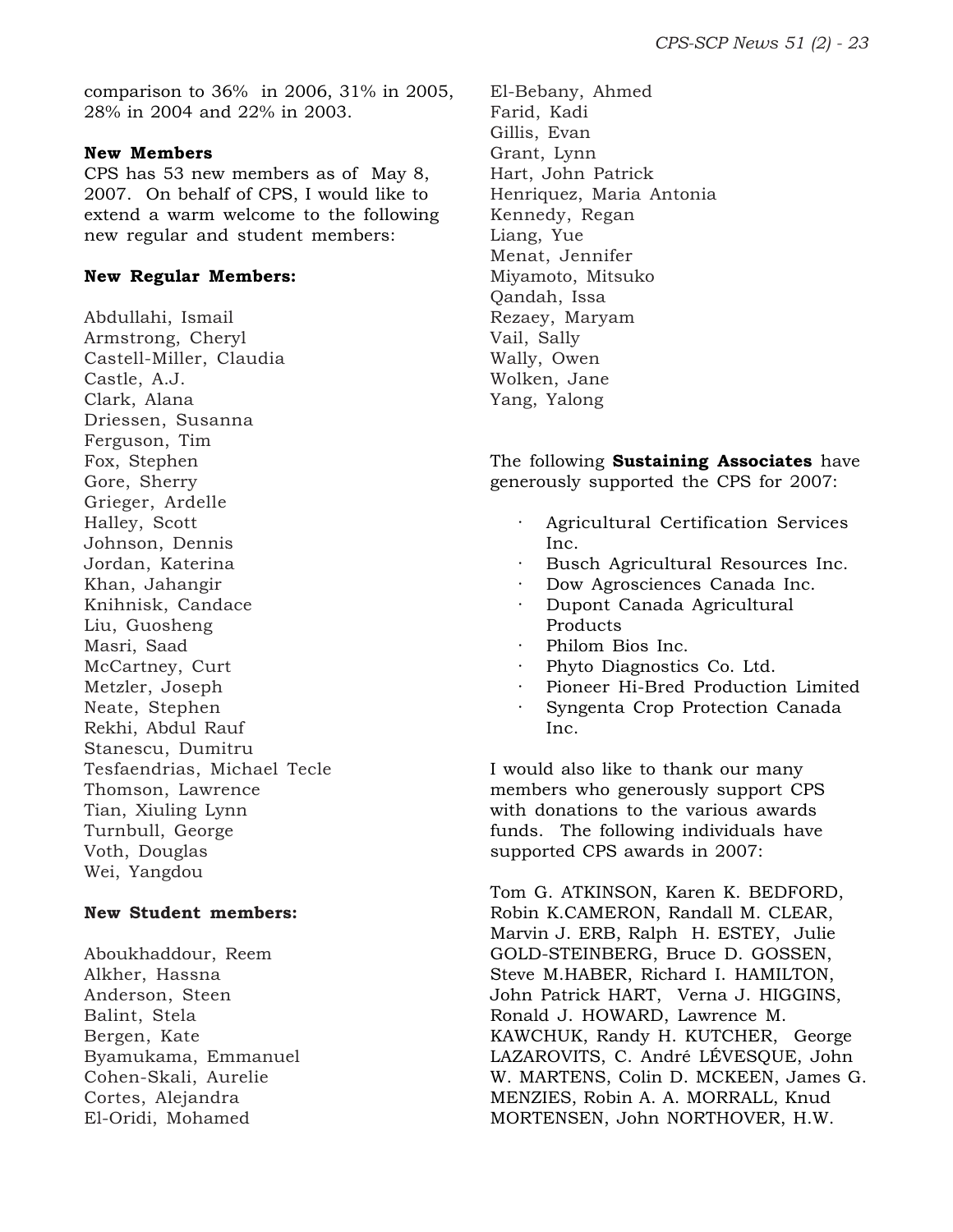comparison to 36% in 2006, 31% in 2005, 28% in 2004 and 22% in 2003.

#### **New Members**

CPS has 53 new members as of May 8, 2007. On behalf of CPS, I would like to extend a warm welcome to the following new regular and student members:

#### **New Regular Members:**

Abdullahi, Ismail Armstrong, Cheryl Castell-Miller, Claudia Castle, A.J. Clark, Alana Driessen, Susanna Ferguson, Tim Fox, Stephen Gore, Sherry Grieger, Ardelle Halley, Scott Johnson, Dennis Jordan, Katerina Khan, Jahangir Knihnisk, Candace Liu, Guosheng Masri, Saad McCartney, Curt Metzler, Joseph Neate, Stephen Rekhi, Abdul Rauf Stanescu, Dumitru Tesfaendrias, Michael Tecle Thomson, Lawrence Tian, Xiuling Lynn Turnbull, George Voth, Douglas Wei, Yangdou

# **New Student members:**

Aboukhaddour, Reem Alkher, Hassna Anderson, Steen Balint, Stela Bergen, Kate Byamukama, Emmanuel Cohen-Skali, Aurelie Cortes, Alejandra El-Oridi, Mohamed

El-Bebany, Ahmed Farid, Kadi Gillis, Evan Grant, Lynn Hart, John Patrick Henriquez, Maria Antonia Kennedy, Regan Liang, Yue Menat, Jennifer Miyamoto, Mitsuko Qandah, Issa Rezaey, Maryam Vail, Sally Wally, Owen Wolken, Jane Yang, Yalong

The following **Sustaining Associates** have generously supported the CPS for 2007:

- · Agricultural Certification Services Inc.
- Busch Agricultural Resources Inc.
- Dow Agrosciences Canada Inc. · Dupont Canada Agricultural Products
- Philom Bios Inc.
- Phyto Diagnostics Co. Ltd.
- Pioneer Hi-Bred Production Limited
- · Syngenta Crop Protection Canada Inc.

I would also like to thank our many members who generously support CPS with donations to the various awards funds. The following individuals have supported CPS awards in 2007:

Tom G. ATKINSON, Karen K. BEDFORD, Robin K.CAMERON, Randall M. CLEAR, Marvin J. ERB, Ralph H. ESTEY, Julie GOLD-STEINBERG, Bruce D. GOSSEN, Steve M.HABER, Richard I. HAMILTON, John Patrick HART, Verna J. HIGGINS, Ronald J. HOWARD, Lawrence M. KAWCHUK, Randy H. KUTCHER, George LAZAROVITS, C. André LÉVESQUE, John W. MARTENS, Colin D. MCKEEN, James G. MENZIES, Robin A. A. MORRALL, Knud MORTENSEN, John NORTHOVER, H.W.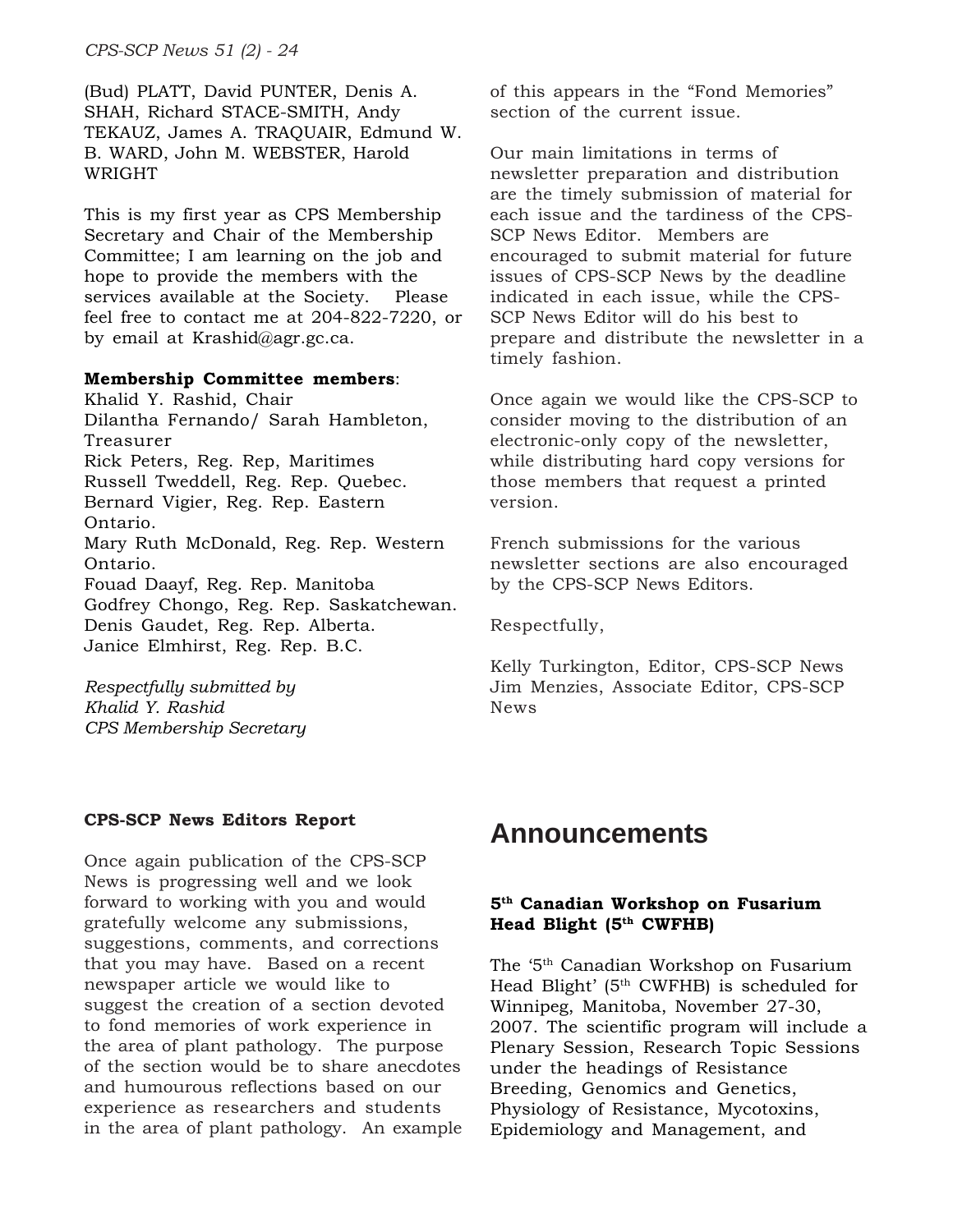*CPS-SCP News 51 (2) - 24*

(Bud) PLATT, David PUNTER, Denis A. SHAH, Richard STACE-SMITH, Andy TEKAUZ, James A. TRAQUAIR, Edmund W. B. WARD, John M. WEBSTER, Harold WRIGHT

This is my first year as CPS Membership Secretary and Chair of the Membership Committee; I am learning on the job and hope to provide the members with the services available at the Society. Please feel free to contact me at 204-822-7220, or by email at Krashid@agr.gc.ca.

#### **Membership Committee members**:

Khalid Y. Rashid, Chair Dilantha Fernando/ Sarah Hambleton, Treasurer Rick Peters, Reg. Rep, Maritimes Russell Tweddell, Reg. Rep. Quebec. Bernard Vigier, Reg. Rep. Eastern Ontario. Mary Ruth McDonald, Reg. Rep. Western Ontario. Fouad Daayf, Reg. Rep. Manitoba Godfrey Chongo, Reg. Rep. Saskatchewan. Denis Gaudet, Reg. Rep. Alberta. Janice Elmhirst, Reg. Rep. B.C.

*Respectfully submitted by Khalid Y. Rashid CPS Membership Secretary*

#### **CPS-SCP News Editors Report**

Once again publication of the CPS-SCP News is progressing well and we look forward to working with you and would gratefully welcome any submissions, suggestions, comments, and corrections that you may have. Based on a recent newspaper article we would like to suggest the creation of a section devoted to fond memories of work experience in the area of plant pathology. The purpose of the section would be to share anecdotes and humourous reflections based on our experience as researchers and students in the area of plant pathology. An example of this appears in the "Fond Memories" section of the current issue.

Our main limitations in terms of newsletter preparation and distribution are the timely submission of material for each issue and the tardiness of the CPS-SCP News Editor. Members are encouraged to submit material for future issues of CPS-SCP News by the deadline indicated in each issue, while the CPS-SCP News Editor will do his best to prepare and distribute the newsletter in a timely fashion.

Once again we would like the CPS-SCP to consider moving to the distribution of an electronic-only copy of the newsletter, while distributing hard copy versions for those members that request a printed version.

French submissions for the various newsletter sections are also encouraged by the CPS-SCP News Editors.

Respectfully,

Kelly Turkington, Editor, CPS-SCP News Jim Menzies, Associate Editor, CPS-SCP News

# **Announcements**

#### **5th Canadian Workshop on Fusarium Head Blight (5th CWFHB)**

The '5th Canadian Workshop on Fusarium Head Blight' (5<sup>th</sup> CWFHB) is scheduled for Winnipeg, Manitoba, November 27-30, 2007. The scientific program will include a Plenary Session, Research Topic Sessions under the headings of Resistance Breeding, Genomics and Genetics, Physiology of Resistance, Mycotoxins, Epidemiology and Management, and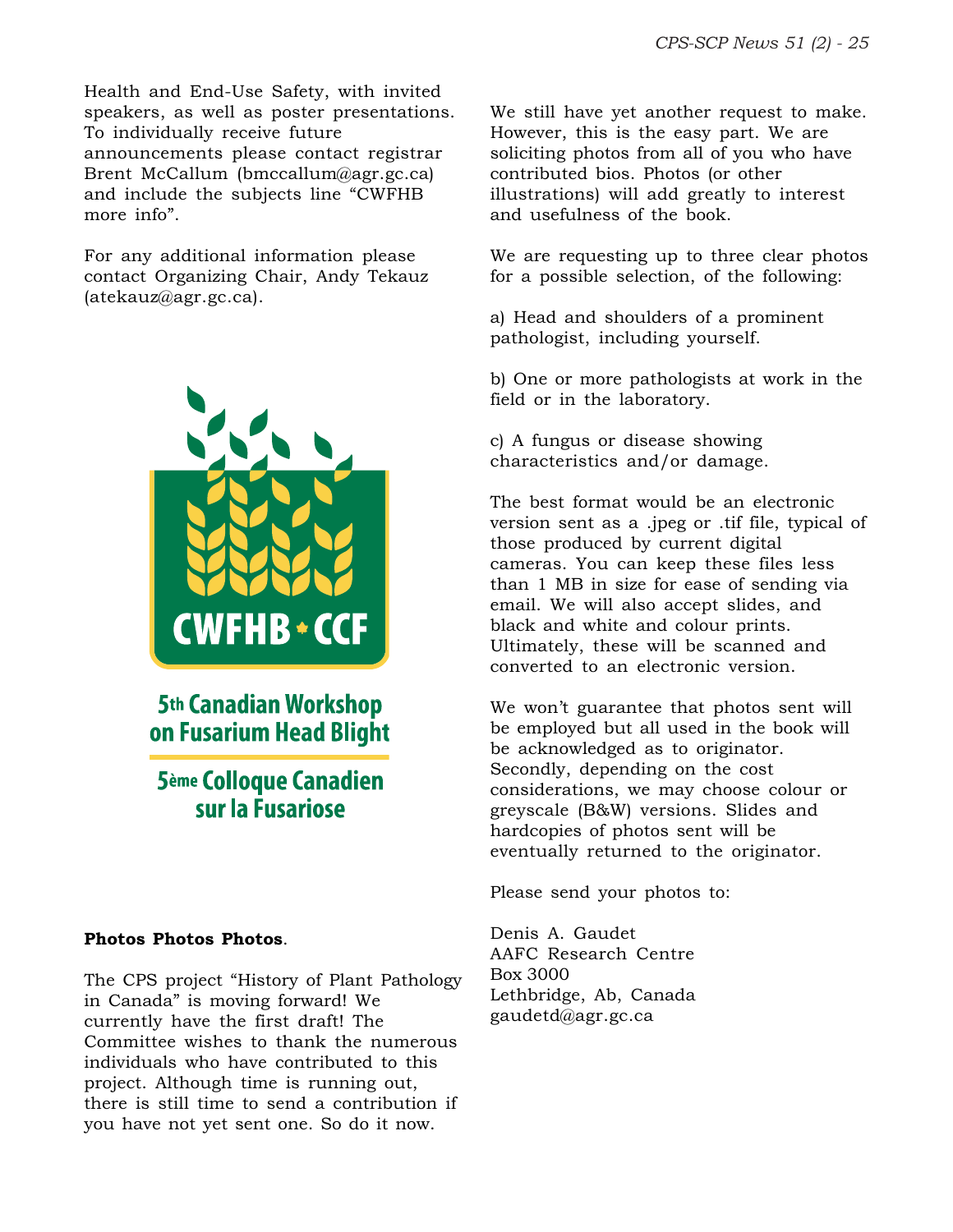Health and End-Use Safety, with invited speakers, as well as poster presentations. To individually receive future announcements please contact registrar Brent McCallum (bmccallum@agr.gc.ca) and include the subjects line "CWFHB more info".

For any additional information please contact Organizing Chair, Andy Tekauz (atekauz@agr.gc.ca).



**5th Canadian Workshop** on Fusarium Head Blight

# **5ème Colloque Canadien** sur la Fusariose

#### **Photos Photos Photos**.

The CPS project "History of Plant Pathology in Canada" is moving forward! We currently have the first draft! The Committee wishes to thank the numerous individuals who have contributed to this project. Although time is running out, there is still time to send a contribution if you have not yet sent one. So do it now.

We still have yet another request to make. However, this is the easy part. We are soliciting photos from all of you who have contributed bios. Photos (or other illustrations) will add greatly to interest and usefulness of the book.

We are requesting up to three clear photos for a possible selection, of the following:

a) Head and shoulders of a prominent pathologist, including yourself.

b) One or more pathologists at work in the field or in the laboratory.

c) A fungus or disease showing characteristics and/or damage.

The best format would be an electronic version sent as a .jpeg or .tif file, typical of those produced by current digital cameras. You can keep these files less than 1 MB in size for ease of sending via email. We will also accept slides, and black and white and colour prints. Ultimately, these will be scanned and converted to an electronic version.

We won't guarantee that photos sent will be employed but all used in the book will be acknowledged as to originator. Secondly, depending on the cost considerations, we may choose colour or greyscale (B&W) versions. Slides and hardcopies of photos sent will be eventually returned to the originator.

Please send your photos to:

Denis A. Gaudet AAFC Research Centre Box 3000 Lethbridge, Ab, Canada gaudetd@agr.gc.ca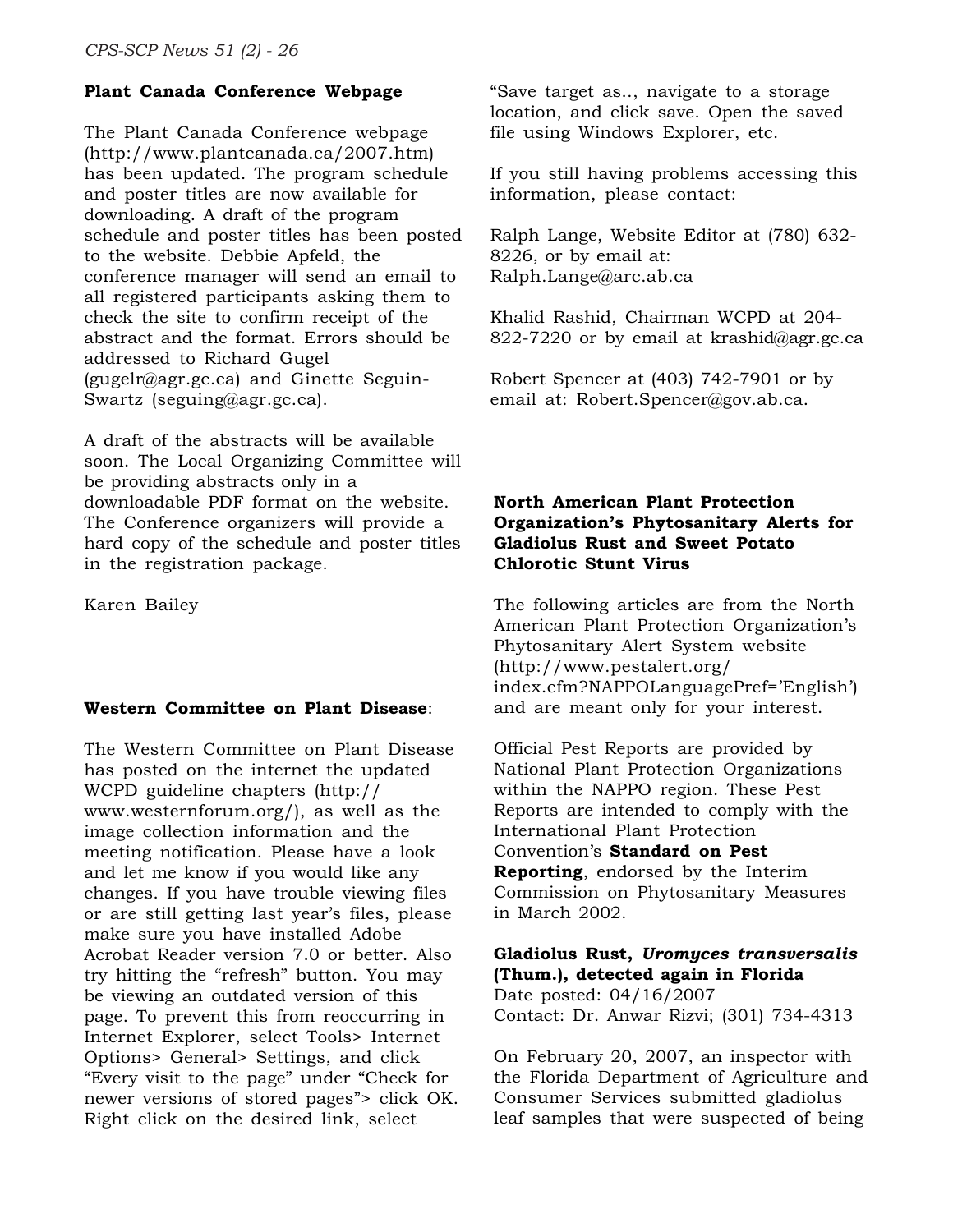# **Plant Canada Conference Webpage**

The Plant Canada Conference webpage (http://www.plantcanada.ca/2007.htm) has been updated. The program schedule and poster titles are now available for downloading. A draft of the program schedule and poster titles has been posted to the website. Debbie Apfeld, the conference manager will send an email to all registered participants asking them to check the site to confirm receipt of the abstract and the format. Errors should be addressed to Richard Gugel (gugelr@agr.gc.ca) and Ginette Seguin-Swartz (seguing@agr.gc.ca).

A draft of the abstracts will be available soon. The Local Organizing Committee will be providing abstracts only in a downloadable PDF format on the website. The Conference organizers will provide a hard copy of the schedule and poster titles in the registration package.

Karen Bailey

#### **Western Committee on Plant Disease**:

The Western Committee on Plant Disease has posted on the internet the updated WCPD guideline chapters (http:// www.westernforum.org/), as well as the image collection information and the meeting notification. Please have a look and let me know if you would like any changes. If you have trouble viewing files or are still getting last year's files, please make sure you have installed Adobe Acrobat Reader version 7.0 or better. Also try hitting the "refresh" button. You may be viewing an outdated version of this page. To prevent this from reoccurring in Internet Explorer, select Tools> Internet Options> General> Settings, and click "Every visit to the page" under "Check for newer versions of stored pages"> click OK. Right click on the desired link, select

"Save target as.., navigate to a storage location, and click save. Open the saved file using Windows Explorer, etc.

If you still having problems accessing this information, please contact:

Ralph Lange, Website Editor at (780) 632- 8226, or by email at: Ralph.Lange@arc.ab.ca

Khalid Rashid, Chairman WCPD at 204- 822-7220 or by email at krashid@agr.gc.ca

Robert Spencer at (403) 742-7901 or by email at: Robert.Spencer@gov.ab.ca.

### **North American Plant Protection Organization's Phytosanitary Alerts for Gladiolus Rust and Sweet Potato Chlorotic Stunt Virus**

The following articles are from the North American Plant Protection Organization's Phytosanitary Alert System website (http://www.pestalert.org/ index.cfm?NAPPOLanguagePref='English') and are meant only for your interest.

Official Pest Reports are provided by National Plant Protection Organizations within the NAPPO region. These Pest Reports are intended to comply with the International Plant Protection Convention's **Standard on Pest Reporting**, endorsed by the Interim Commission on Phytosanitary Measures in March 2002.

**Gladiolus Rust,** *Uromyces transversalis* **(Thum.), detected again in Florida** Date posted: 04/16/2007 Contact: Dr. Anwar Rizvi; (301) 734-4313

On February 20, 2007, an inspector with the Florida Department of Agriculture and Consumer Services submitted gladiolus leaf samples that were suspected of being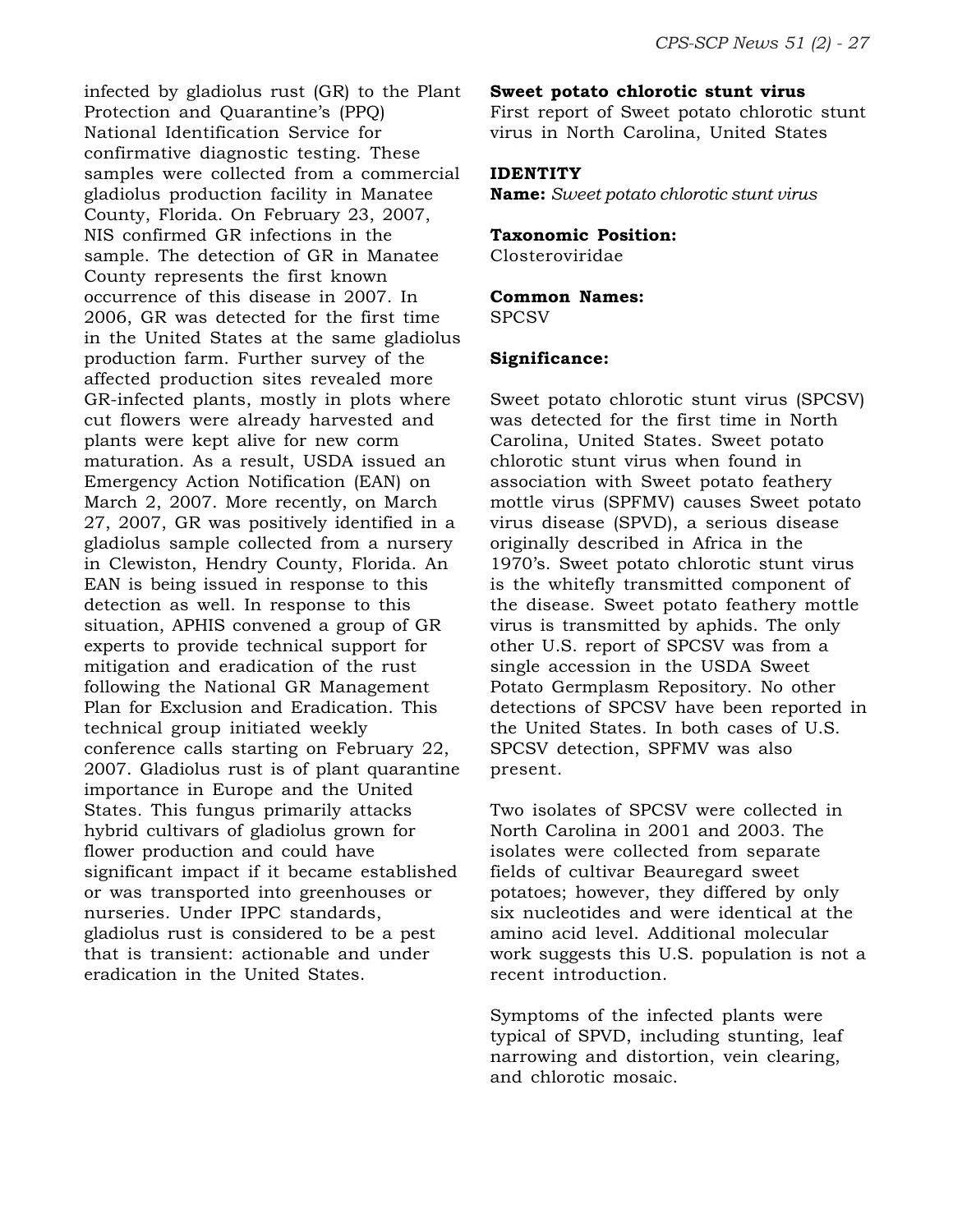infected by gladiolus rust (GR) to the Plant Protection and Quarantine's (PPQ) National Identification Service for confirmative diagnostic testing. These samples were collected from a commercial gladiolus production facility in Manatee County, Florida. On February 23, 2007, NIS confirmed GR infections in the sample. The detection of GR in Manatee County represents the first known occurrence of this disease in 2007. In 2006, GR was detected for the first time in the United States at the same gladiolus production farm. Further survey of the affected production sites revealed more GR-infected plants, mostly in plots where cut flowers were already harvested and plants were kept alive for new corm maturation. As a result, USDA issued an Emergency Action Notification (EAN) on March 2, 2007. More recently, on March 27, 2007, GR was positively identified in a gladiolus sample collected from a nursery in Clewiston, Hendry County, Florida. An EAN is being issued in response to this detection as well. In response to this situation, APHIS convened a group of GR experts to provide technical support for mitigation and eradication of the rust following the National GR Management Plan for Exclusion and Eradication. This technical group initiated weekly conference calls starting on February 22, 2007. Gladiolus rust is of plant quarantine importance in Europe and the United States. This fungus primarily attacks hybrid cultivars of gladiolus grown for flower production and could have significant impact if it became established or was transported into greenhouses or nurseries. Under IPPC standards, gladiolus rust is considered to be a pest that is transient: actionable and under eradication in the United States.

#### **Sweet potato chlorotic stunt virus**

First report of Sweet potato chlorotic stunt virus in North Carolina, United States

#### **IDENTITY**

**Name:** *Sweet potato chlorotic stunt virus*

#### **Taxonomic Position:**

Closteroviridae

#### **Common Names:**

**SPCSV** 

#### **Significance:**

Sweet potato chlorotic stunt virus (SPCSV) was detected for the first time in North Carolina, United States. Sweet potato chlorotic stunt virus when found in association with Sweet potato feathery mottle virus (SPFMV) causes Sweet potato virus disease (SPVD), a serious disease originally described in Africa in the 1970's. Sweet potato chlorotic stunt virus is the whitefly transmitted component of the disease. Sweet potato feathery mottle virus is transmitted by aphids. The only other U.S. report of SPCSV was from a single accession in the USDA Sweet Potato Germplasm Repository. No other detections of SPCSV have been reported in the United States. In both cases of U.S. SPCSV detection, SPFMV was also present.

Two isolates of SPCSV were collected in North Carolina in 2001 and 2003. The isolates were collected from separate fields of cultivar Beauregard sweet potatoes; however, they differed by only six nucleotides and were identical at the amino acid level. Additional molecular work suggests this U.S. population is not a recent introduction.

Symptoms of the infected plants were typical of SPVD, including stunting, leaf narrowing and distortion, vein clearing, and chlorotic mosaic.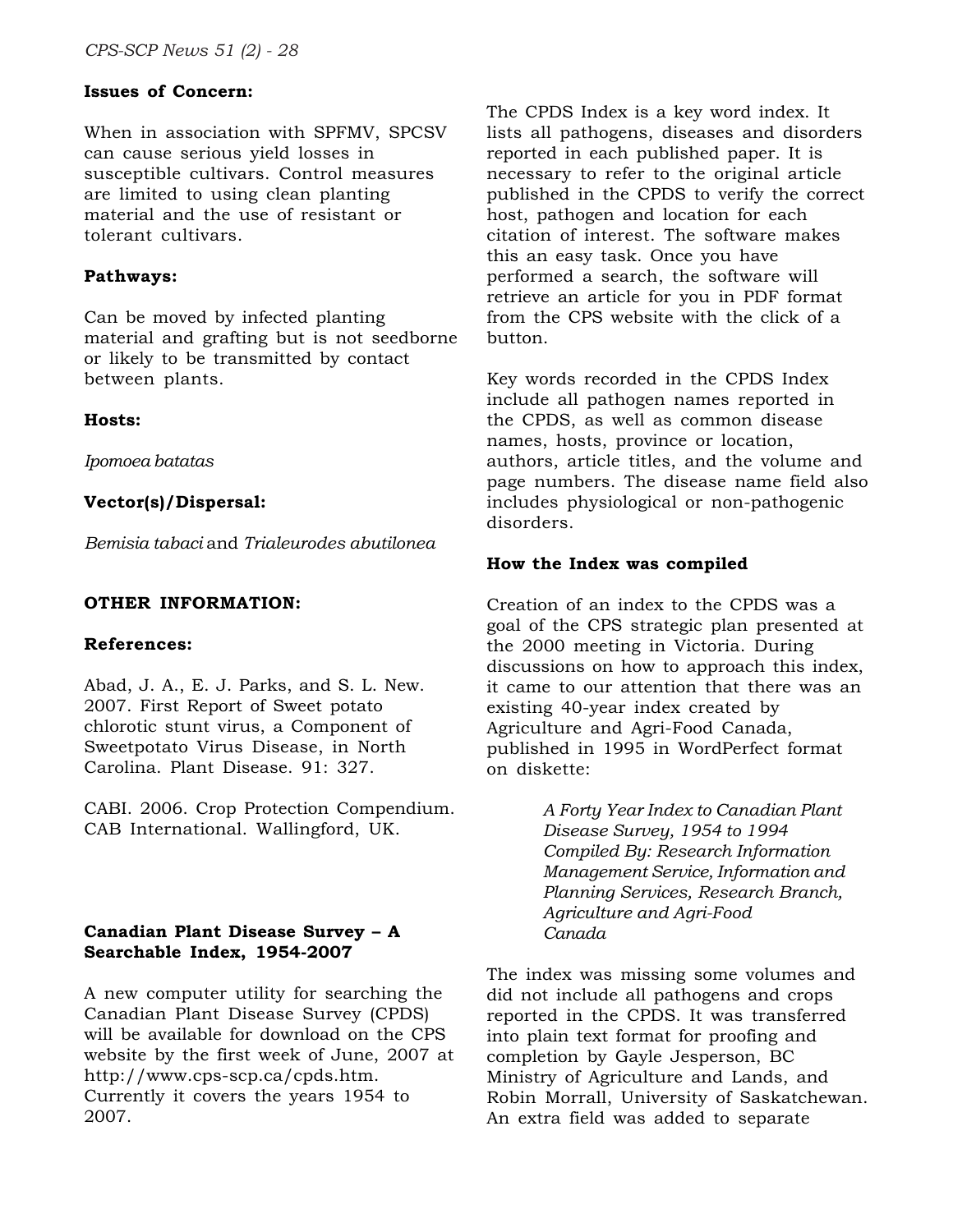# **Issues of Concern:**

When in association with SPFMV, SPCSV can cause serious yield losses in susceptible cultivars. Control measures are limited to using clean planting material and the use of resistant or tolerant cultivars.

#### **Pathways:**

Can be moved by infected planting material and grafting but is not seedborne or likely to be transmitted by contact between plants.

### **Hosts:**

*Ipomoea batatas*

### **Vector(s)/Dispersal:**

*Bemisia tabaci* and *Trialeurodes abutilonea*

### **OTHER INFORMATION:**

#### **References:**

Abad, J. A., E. J. Parks, and S. L. New. 2007. First Report of Sweet potato chlorotic stunt virus, a Component of Sweetpotato Virus Disease, in North Carolina. Plant Disease. 91: 327.

CABI. 2006. Crop Protection Compendium. CAB International. Wallingford, UK.

# **Canadian Plant Disease Survey – A Searchable Index, 1954-2007**

A new computer utility for searching the Canadian Plant Disease Survey (CPDS) will be available for download on the CPS website by the first week of June, 2007 at http://www.cps-scp.ca/cpds.htm. Currently it covers the years 1954 to 2007.

The CPDS Index is a key word index. It lists all pathogens, diseases and disorders reported in each published paper. It is necessary to refer to the original article published in the CPDS to verify the correct host, pathogen and location for each citation of interest. The software makes this an easy task. Once you have performed a search, the software will retrieve an article for you in PDF format from the CPS website with the click of a button.

Key words recorded in the CPDS Index include all pathogen names reported in the CPDS, as well as common disease names, hosts, province or location, authors, article titles, and the volume and page numbers. The disease name field also includes physiological or non-pathogenic disorders.

### **How the Index was compiled**

Creation of an index to the CPDS was a goal of the CPS strategic plan presented at the 2000 meeting in Victoria. During discussions on how to approach this index, it came to our attention that there was an existing 40-year index created by Agriculture and Agri-Food Canada, published in 1995 in WordPerfect format on diskette:

> *A Forty Year Index to Canadian Plant Disease Survey, 1954 to 1994 Compiled By: Research Information Management Service, Information and Planning Services, Research Branch, Agriculture and Agri-Food Canada*

The index was missing some volumes and did not include all pathogens and crops reported in the CPDS. It was transferred into plain text format for proofing and completion by Gayle Jesperson, BC Ministry of Agriculture and Lands, and Robin Morrall, University of Saskatchewan. An extra field was added to separate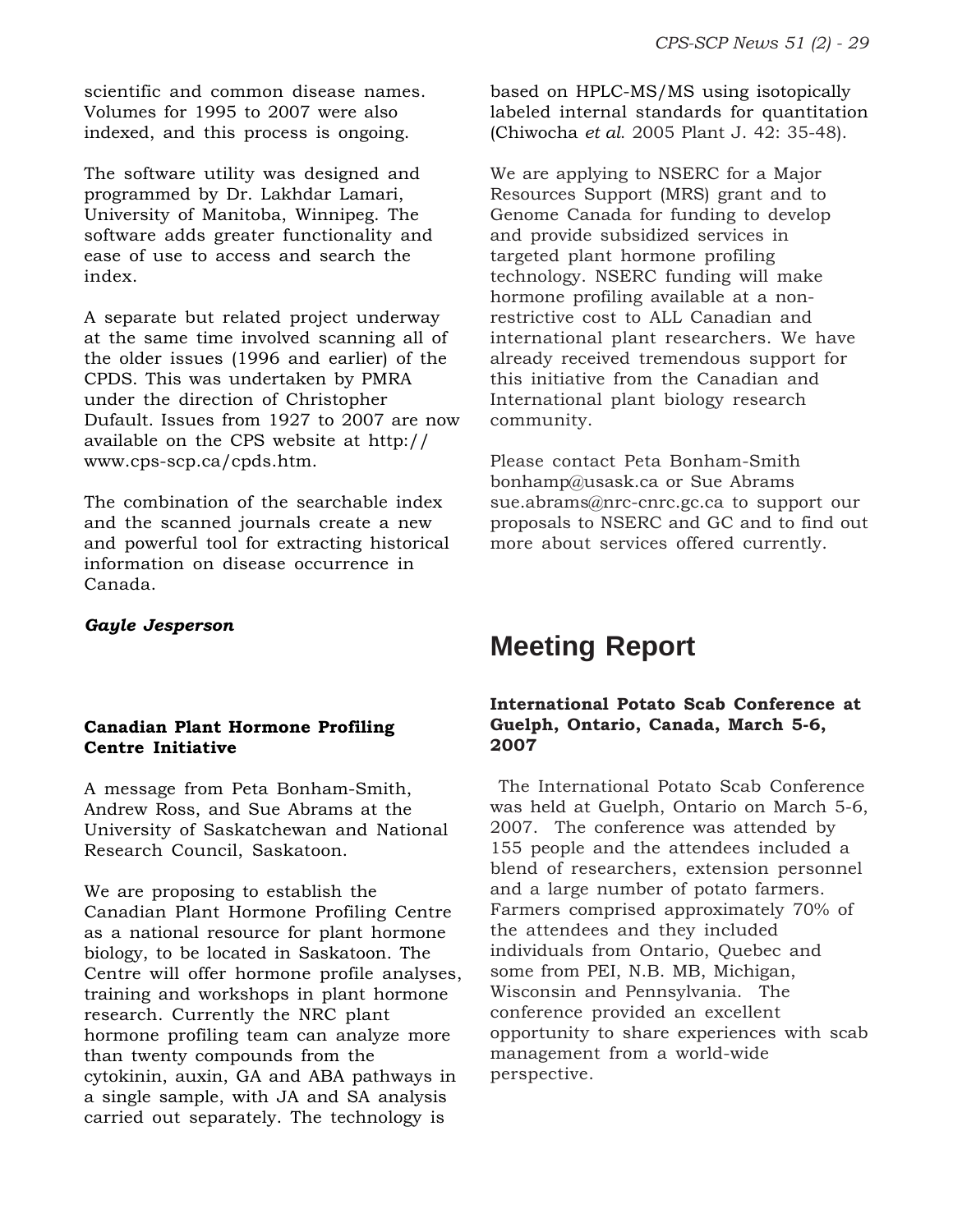scientific and common disease names. Volumes for 1995 to 2007 were also indexed, and this process is ongoing.

The software utility was designed and programmed by Dr. Lakhdar Lamari, University of Manitoba, Winnipeg. The software adds greater functionality and ease of use to access and search the index.

A separate but related project underway at the same time involved scanning all of the older issues (1996 and earlier) of the CPDS. This was undertaken by PMRA under the direction of Christopher Dufault. Issues from 1927 to 2007 are now available on the CPS website at http:// www.cps-scp.ca/cpds.htm.

The combination of the searchable index and the scanned journals create a new and powerful tool for extracting historical information on disease occurrence in Canada.

#### *Gayle Jesperson*

### **Canadian Plant Hormone Profiling Centre Initiative**

A message from Peta Bonham-Smith, Andrew Ross, and Sue Abrams at the University of Saskatchewan and National Research Council, Saskatoon.

We are proposing to establish the Canadian Plant Hormone Profiling Centre as a national resource for plant hormone biology, to be located in Saskatoon. The Centre will offer hormone profile analyses, training and workshops in plant hormone research. Currently the NRC plant hormone profiling team can analyze more than twenty compounds from the cytokinin, auxin, GA and ABA pathways in a single sample, with JA and SA analysis carried out separately. The technology is

based on HPLC-MS/MS using isotopically labeled internal standards for quantitation (Chiwocha *et al*. 2005 Plant J. 42: 35-48).

We are applying to NSERC for a Major Resources Support (MRS) grant and to Genome Canada for funding to develop and provide subsidized services in targeted plant hormone profiling technology. NSERC funding will make hormone profiling available at a nonrestrictive cost to ALL Canadian and international plant researchers. We have already received tremendous support for this initiative from the Canadian and International plant biology research community.

Please contact Peta Bonham-Smith bonhamp@usask.ca or Sue Abrams sue.abrams@nrc-cnrc.gc.ca to support our proposals to NSERC and GC and to find out more about services offered currently.

# **Meeting Report**

# **International Potato Scab Conference at Guelph, Ontario, Canada, March 5-6, 2007**

 The International Potato Scab Conference was held at Guelph, Ontario on March 5-6, 2007. The conference was attended by 155 people and the attendees included a blend of researchers, extension personnel and a large number of potato farmers. Farmers comprised approximately 70% of the attendees and they included individuals from Ontario, Quebec and some from PEI, N.B. MB, Michigan, Wisconsin and Pennsylvania. The conference provided an excellent opportunity to share experiences with scab management from a world-wide perspective.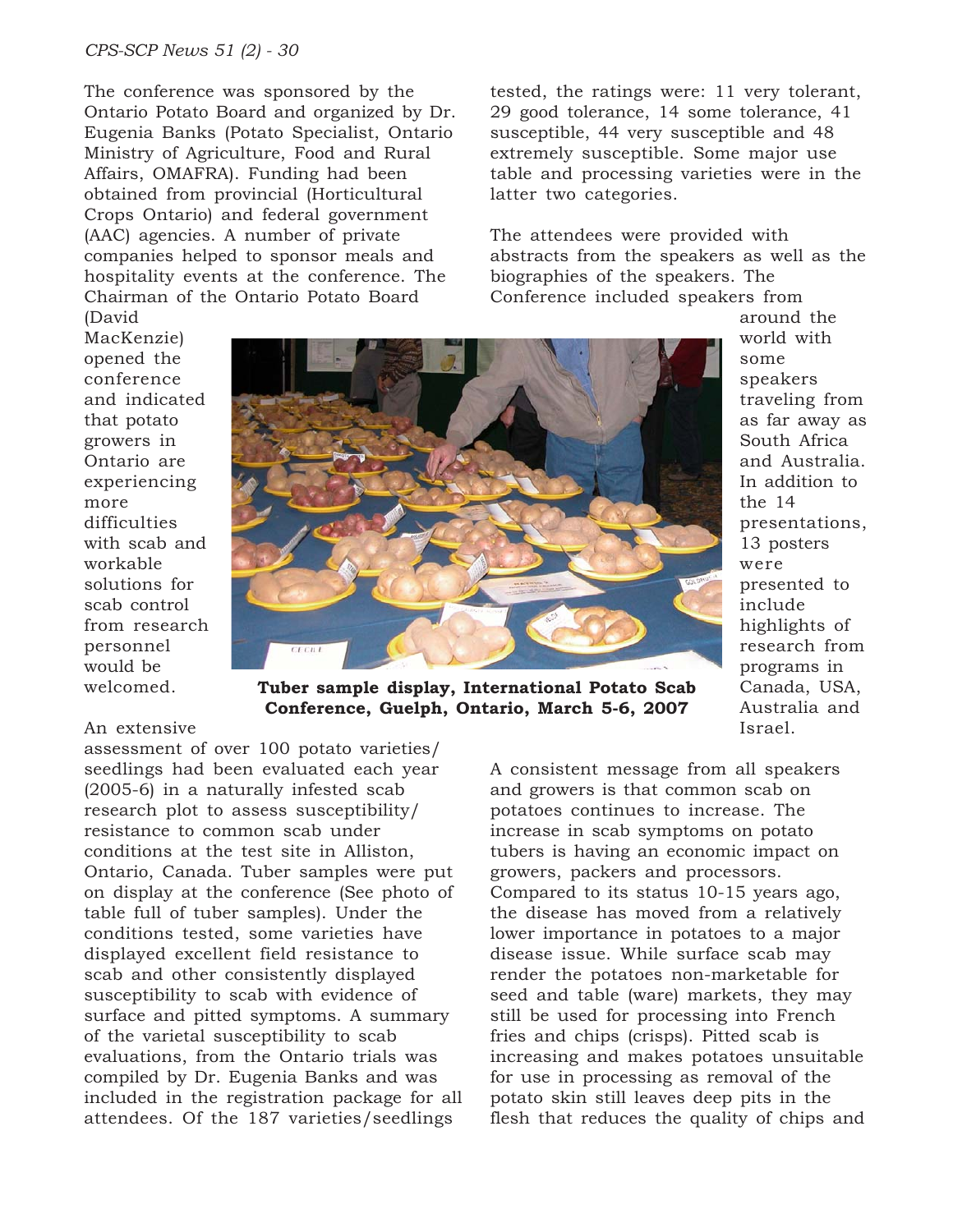The conference was sponsored by the Ontario Potato Board and organized by Dr. Eugenia Banks (Potato Specialist, Ontario Ministry of Agriculture, Food and Rural Affairs, OMAFRA). Funding had been obtained from provincial (Horticultural Crops Ontario) and federal government (AAC) agencies. A number of private companies helped to sponsor meals and hospitality events at the conference. The Chairman of the Ontario Potato Board (David

tested, the ratings were: 11 very tolerant, 29 good tolerance, 14 some tolerance, 41 susceptible, 44 very susceptible and 48 extremely susceptible. Some major use table and processing varieties were in the latter two categories.

The attendees were provided with abstracts from the speakers as well as the biographies of the speakers. The Conference included speakers from

MacKenzie) opened the conference and indicated that potato growers in Ontario are experiencing more difficulties with scab and workable solutions for scab control from research personnel would be welcomed.



**Tuber sample display, International Potato Scab Conference, Guelph, Ontario, March 5-6, 2007**

#### An extensive

assessment of over 100 potato varieties/ seedlings had been evaluated each year (2005-6) in a naturally infested scab research plot to assess susceptibility/ resistance to common scab under conditions at the test site in Alliston, Ontario, Canada. Tuber samples were put on display at the conference (See photo of table full of tuber samples). Under the conditions tested, some varieties have displayed excellent field resistance to scab and other consistently displayed susceptibility to scab with evidence of surface and pitted symptoms. A summary of the varietal susceptibility to scab evaluations, from the Ontario trials was compiled by Dr. Eugenia Banks and was included in the registration package for all attendees. Of the 187 varieties/seedlings

A consistent message from all speakers and growers is that common scab on potatoes continues to increase. The increase in scab symptoms on potato tubers is having an economic impact on growers, packers and processors. Compared to its status 10-15 years ago, the disease has moved from a relatively lower importance in potatoes to a major disease issue. While surface scab may render the potatoes non-marketable for seed and table (ware) markets, they may still be used for processing into French fries and chips (crisps). Pitted scab is increasing and makes potatoes unsuitable for use in processing as removal of the potato skin still leaves deep pits in the flesh that reduces the quality of chips and

around the world with some speakers traveling from as far away as South Africa and Australia. In addition to the 14 presentations, 13 posters were presented to include highlights of research from programs in Canada, USA, Australia and Israel.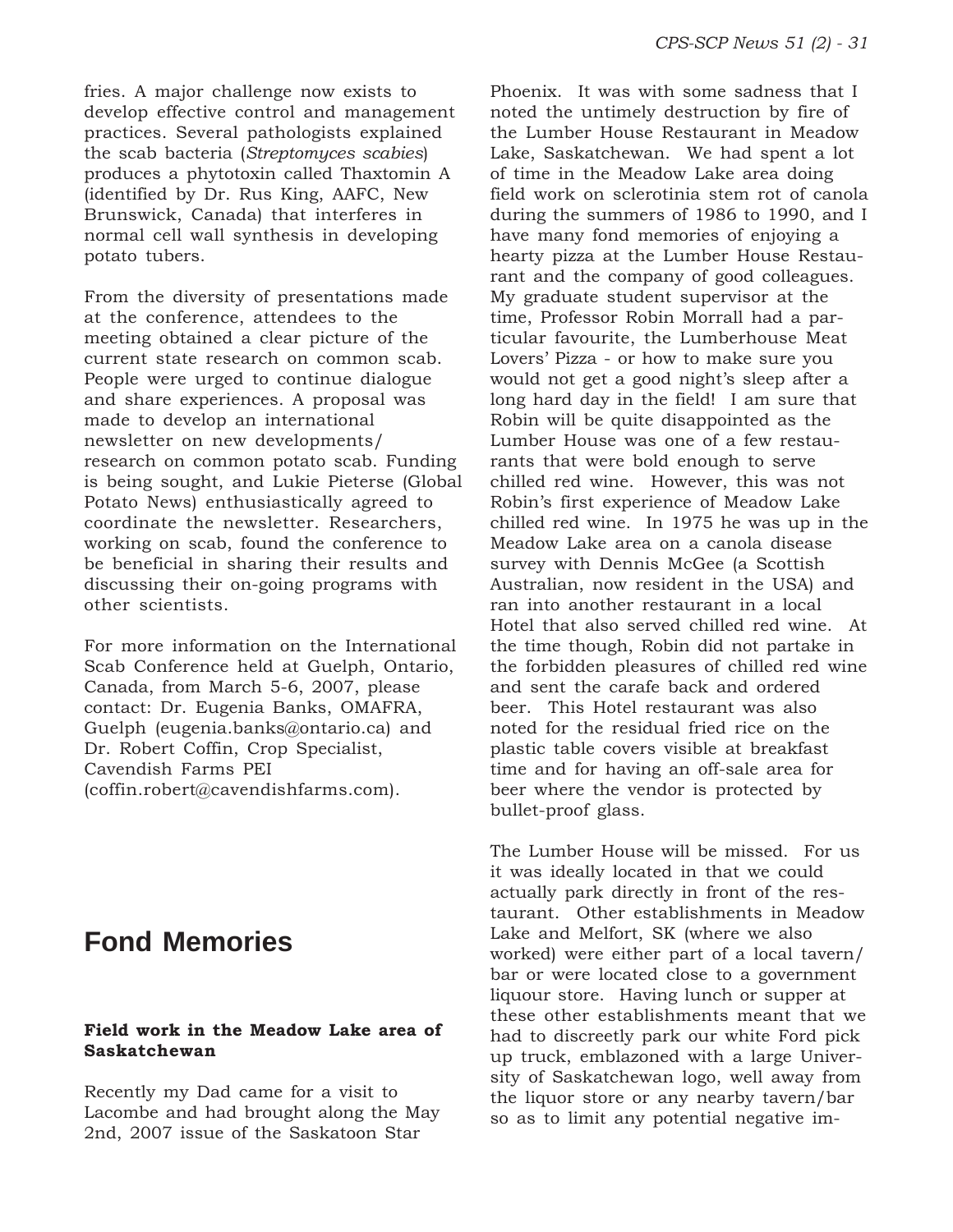fries. A major challenge now exists to develop effective control and management practices. Several pathologists explained the scab bacteria (*Streptomyces scabies*) produces a phytotoxin called Thaxtomin A (identified by Dr. Rus King, AAFC, New Brunswick, Canada) that interferes in normal cell wall synthesis in developing potato tubers.

From the diversity of presentations made at the conference, attendees to the meeting obtained a clear picture of the current state research on common scab. People were urged to continue dialogue and share experiences. A proposal was made to develop an international newsletter on new developments/ research on common potato scab. Funding is being sought, and Lukie Pieterse (Global Potato News) enthusiastically agreed to coordinate the newsletter. Researchers, working on scab, found the conference to be beneficial in sharing their results and discussing their on-going programs with other scientists.

For more information on the International Scab Conference held at Guelph, Ontario, Canada, from March 5-6, 2007, please contact: Dr. Eugenia Banks, OMAFRA, Guelph (eugenia.banks@ontario.ca) and Dr. Robert Coffin, Crop Specialist, Cavendish Farms PEI (coffin.robert@cavendishfarms.com).

# **Fond Memories**

### **Field work in the Meadow Lake area of Saskatchewan**

Recently my Dad came for a visit to Lacombe and had brought along the May 2nd, 2007 issue of the Saskatoon Star

Phoenix. It was with some sadness that I noted the untimely destruction by fire of the Lumber House Restaurant in Meadow Lake, Saskatchewan. We had spent a lot of time in the Meadow Lake area doing field work on sclerotinia stem rot of canola during the summers of 1986 to 1990, and I have many fond memories of enjoying a hearty pizza at the Lumber House Restaurant and the company of good colleagues. My graduate student supervisor at the time, Professor Robin Morrall had a particular favourite, the Lumberhouse Meat Lovers' Pizza - or how to make sure you would not get a good night's sleep after a long hard day in the field! I am sure that Robin will be quite disappointed as the Lumber House was one of a few restaurants that were bold enough to serve chilled red wine. However, this was not Robin's first experience of Meadow Lake chilled red wine. In 1975 he was up in the Meadow Lake area on a canola disease survey with Dennis McGee (a Scottish Australian, now resident in the USA) and ran into another restaurant in a local Hotel that also served chilled red wine. At the time though, Robin did not partake in the forbidden pleasures of chilled red wine and sent the carafe back and ordered beer. This Hotel restaurant was also noted for the residual fried rice on the plastic table covers visible at breakfast time and for having an off-sale area for beer where the vendor is protected by bullet-proof glass.

The Lumber House will be missed. For us it was ideally located in that we could actually park directly in front of the restaurant. Other establishments in Meadow Lake and Melfort, SK (where we also worked) were either part of a local tavern/ bar or were located close to a government liquour store. Having lunch or supper at these other establishments meant that we had to discreetly park our white Ford pick up truck, emblazoned with a large University of Saskatchewan logo, well away from the liquor store or any nearby tavern/bar so as to limit any potential negative im